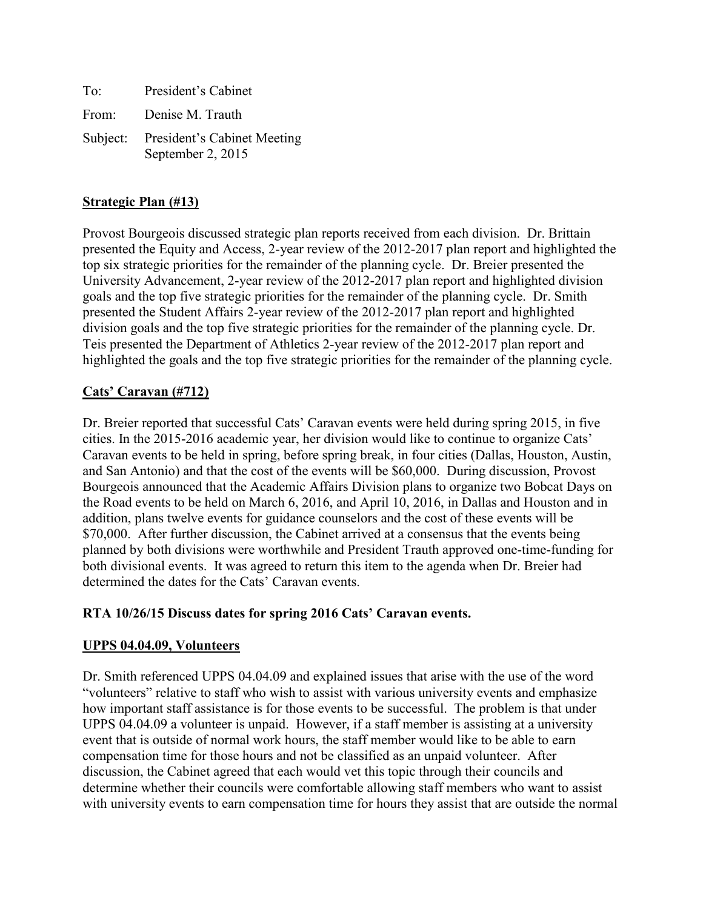To: President's Cabinet From: Denise M. Trauth Subject: President's Cabinet Meeting September 2, 2015

## **Strategic Plan (#13)**

Provost Bourgeois discussed strategic plan reports received from each division. Dr. Brittain presented the Equity and Access, 2-year review of the 2012-2017 plan report and highlighted the top six strategic priorities for the remainder of the planning cycle. Dr. Breier presented the University Advancement, 2-year review of the 2012-2017 plan report and highlighted division goals and the top five strategic priorities for the remainder of the planning cycle. Dr. Smith presented the Student Affairs 2-year review of the 2012-2017 plan report and highlighted division goals and the top five strategic priorities for the remainder of the planning cycle. Dr. Teis presented the Department of Athletics 2-year review of the 2012-2017 plan report and highlighted the goals and the top five strategic priorities for the remainder of the planning cycle.

### **Cats' Caravan (#712)**

Dr. Breier reported that successful Cats' Caravan events were held during spring 2015, in five cities. In the 2015-2016 academic year, her division would like to continue to organize Cats' Caravan events to be held in spring, before spring break, in four cities (Dallas, Houston, Austin, and San Antonio) and that the cost of the events will be \$60,000. During discussion, Provost Bourgeois announced that the Academic Affairs Division plans to organize two Bobcat Days on the Road events to be held on March 6, 2016, and April 10, 2016, in Dallas and Houston and in addition, plans twelve events for guidance counselors and the cost of these events will be \$70,000. After further discussion, the Cabinet arrived at a consensus that the events being planned by both divisions were worthwhile and President Trauth approved one-time-funding for both divisional events. It was agreed to return this item to the agenda when Dr. Breier had determined the dates for the Cats' Caravan events.

#### **RTA 10/26/15 Discuss dates for spring 2016 Cats' Caravan events.**

#### **UPPS 04.04.09, Volunteers**

Dr. Smith referenced UPPS 04.04.09 and explained issues that arise with the use of the word "volunteers" relative to staff who wish to assist with various university events and emphasize how important staff assistance is for those events to be successful. The problem is that under UPPS 04.04.09 a volunteer is unpaid. However, if a staff member is assisting at a university event that is outside of normal work hours, the staff member would like to be able to earn compensation time for those hours and not be classified as an unpaid volunteer. After discussion, the Cabinet agreed that each would vet this topic through their councils and determine whether their councils were comfortable allowing staff members who want to assist with university events to earn compensation time for hours they assist that are outside the normal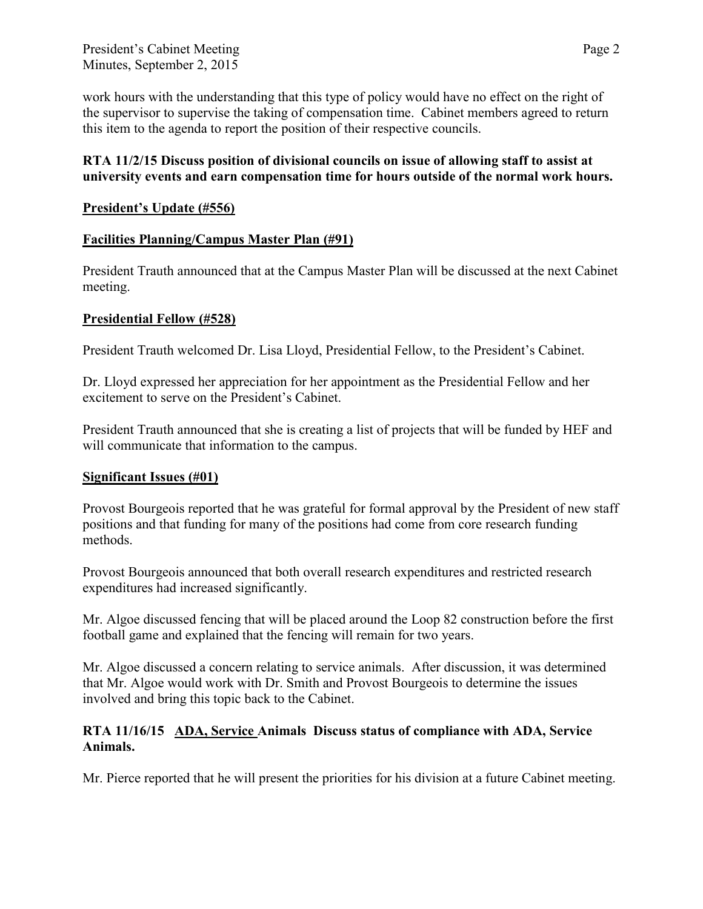work hours with the understanding that this type of policy would have no effect on the right of the supervisor to supervise the taking of compensation time. Cabinet members agreed to return this item to the agenda to report the position of their respective councils.

## **RTA 11/2/15 Discuss position of divisional councils on issue of allowing staff to assist at university events and earn compensation time for hours outside of the normal work hours.**

# **President's Update (#556)**

# **Facilities Planning/Campus Master Plan (#91)**

President Trauth announced that at the Campus Master Plan will be discussed at the next Cabinet meeting.

# **Presidential Fellow (#528)**

President Trauth welcomed Dr. Lisa Lloyd, Presidential Fellow, to the President's Cabinet.

Dr. Lloyd expressed her appreciation for her appointment as the Presidential Fellow and her excitement to serve on the President's Cabinet.

President Trauth announced that she is creating a list of projects that will be funded by HEF and will communicate that information to the campus.

## **Significant Issues (#01)**

Provost Bourgeois reported that he was grateful for formal approval by the President of new staff positions and that funding for many of the positions had come from core research funding methods.

Provost Bourgeois announced that both overall research expenditures and restricted research expenditures had increased significantly.

Mr. Algoe discussed fencing that will be placed around the Loop 82 construction before the first football game and explained that the fencing will remain for two years.

Mr. Algoe discussed a concern relating to service animals. After discussion, it was determined that Mr. Algoe would work with Dr. Smith and Provost Bourgeois to determine the issues involved and bring this topic back to the Cabinet.

## **RTA 11/16/15 ADA, Service Animals Discuss status of compliance with ADA, Service Animals.**

Mr. Pierce reported that he will present the priorities for his division at a future Cabinet meeting.